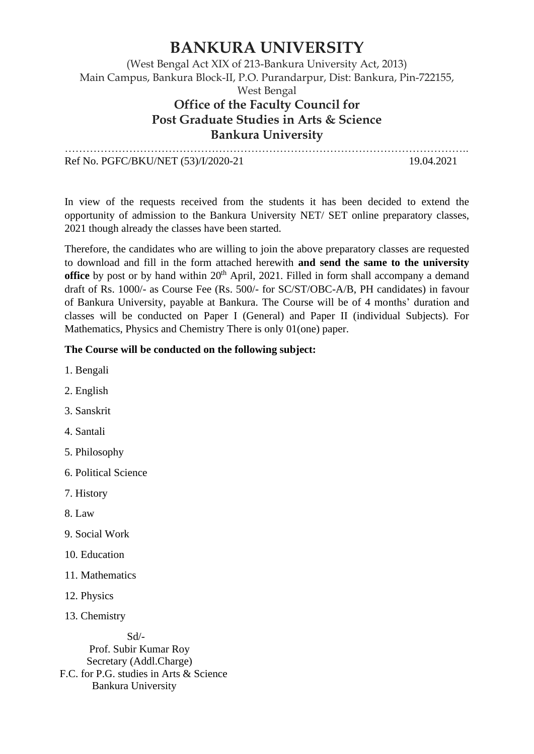## **BANKURA UNIVERSITY**

#### (West Bengal Act XIX of 213-Bankura University Act, 2013) Main Campus, Bankura Block-II, P.O. Purandarpur, Dist: Bankura, Pin-722155, West Bengal **Office of the Faculty Council for Post Graduate Studies in Arts & Science Bankura University** …………………………………………………………………………………………………..

Ref No. PGFC/BKU/NET (53)/I/2020-21 19.04.2021

In view of the requests received from the students it has been decided to extend the opportunity of admission to the Bankura University NET/ SET online preparatory classes, 2021 though already the classes have been started.

Therefore, the candidates who are willing to join the above preparatory classes are requested to download and fill in the form attached herewith **and send the same to the university office** by post or by hand within 20<sup>th</sup> April, 2021. Filled in form shall accompany a demand draft of Rs. 1000/- as Course Fee (Rs. 500/- for SC/ST/OBC-A/B, PH candidates) in favour of Bankura University, payable at Bankura. The Course will be of 4 months' duration and classes will be conducted on Paper I (General) and Paper II (individual Subjects). For Mathematics, Physics and Chemistry There is only 01(one) paper.

#### **The Course will be conducted on the following subject:**

- 1. Bengali
- 2. English
- 3. Sanskrit
- 4. Santali
- 5. Philosophy
- 6. Political Science
- 7. History
- 8. Law
- 9. Social Work
- 10. Education
- 11. Mathematics
- 12. Physics
- 13. Chemistry

 Sd/- Prof. Subir Kumar Roy Secretary (Addl.Charge) F.C. for P.G. studies in Arts & Science Bankura University